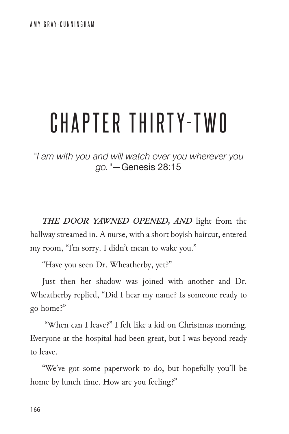## CHAPTER THIRTY-TWO

*"I am with you and will watch over you wherever you go."*—Genesis 28:15

*THE DOOR YAWNED OPENED, AND* light from the hallway streamed in. A nurse, with a short boyish haircut, entered my room, "I'm sorry. I didn't mean to wake you."

"Have you seen Dr. Wheatherby, yet?"

Just then her shadow was joined with another and Dr. Wheatherby replied, "Did I hear my name? Is someone ready to go home?"

 "When can I leave?" I felt like a kid on Christmas morning. Everyone at the hospital had been great, but I was beyond ready to leave.

"We've got some paperwork to do, but hopefully you'll be home by lunch time. How are you feeling?"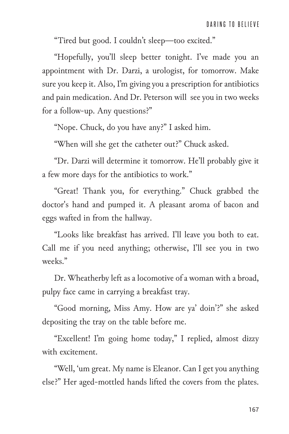"Tired but good. I couldn't sleep—too excited."

"Hopefully, you'll sleep better tonight. I've made you an appointment with Dr. Darzi, a urologist, for tomorrow. Make sure you keep it. Also, I'm giving you a prescription for antibiotics and pain medication. And Dr. Peterson will see you in two weeks for a follow-up. Any questions?"

"Nope. Chuck, do you have any?" I asked him.

"When will she get the catheter out?" Chuck asked.

"Dr. Darzi will determine it tomorrow. He'll probably give it a few more days for the antibiotics to work."

"Great! Thank you, for everything." Chuck grabbed the doctor's hand and pumped it. A pleasant aroma of bacon and eggs wafted in from the hallway.

"Looks like breakfast has arrived. I'll leave you both to eat. Call me if you need anything; otherwise, I'll see you in two weeks."

Dr. Wheatherby left as a locomotive of a woman with a broad, pulpy face came in carrying a breakfast tray.

"Good morning, Miss Amy. How are ya' doin'?" she asked depositing the tray on the table before me.

"Excellent! I'm going home today," I replied, almost dizzy with excitement.

"Well, 'um great. My name is Eleanor. Can I get you anything else?" Her aged-mottled hands lifted the covers from the plates.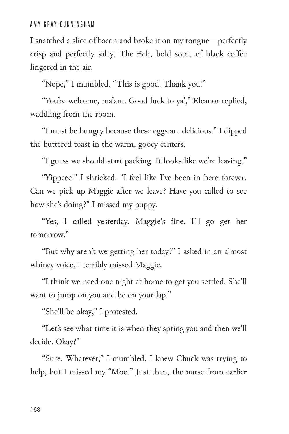## A M Y G R A Y - C U N N I N G H A M

I snatched a slice of bacon and broke it on my tongue—perfectly crisp and perfectly salty. The rich, bold scent of black coffee lingered in the air.

"Nope," I mumbled. "This is good. Thank you."

"You're welcome, ma'am. Good luck to ya'," Eleanor replied, waddling from the room.

"I must be hungry because these eggs are delicious." I dipped the buttered toast in the warm, gooey centers.

"I guess we should start packing. It looks like we're leaving."

"Yippeee!" I shrieked. "I feel like I've been in here forever. Can we pick up Maggie after we leave? Have you called to see how she's doing?" I missed my puppy.

"Yes, I called yesterday. Maggie's fine. I'll go get her tomorrow."

"But why aren't we getting her today?" I asked in an almost whiney voice. I terribly missed Maggie.

"I think we need one night at home to get you settled. She'll want to jump on you and be on your lap."

"She'll be okay," I protested.

"Let's see what time it is when they spring you and then we'll decide. Okay?"

"Sure. Whatever," I mumbled. I knew Chuck was trying to help, but I missed my "Moo." Just then, the nurse from earlier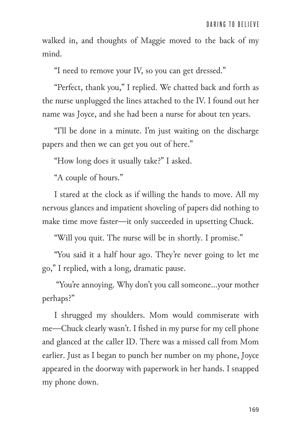walked in, and thoughts of Maggie moved to the back of my mind.

"I need to remove your IV, so you can get dressed."

"Perfect, thank you," I replied. We chatted back and forth as the nurse unplugged the lines attached to the IV. I found out her name was Joyce, and she had been a nurse for about ten years.

"I'll be done in a minute. I'm just waiting on the discharge papers and then we can get you out of here."

"How long does it usually take?" I asked.

"A couple of hours."

I stared at the clock as if willing the hands to move. All my nervous glances and impatient shoveling of papers did nothing to make time move faster—it only succeeded in upsetting Chuck.

"Will you quit. The nurse will be in shortly. I promise."

"You said it a half hour ago. They're never going to let me go," I replied, with a long, dramatic pause.

 "You're annoying. Why don't you call someone…your mother perhaps?"

I shrugged my shoulders. Mom would commiserate with me—Chuck clearly wasn't. I fished in my purse for my cell phone and glanced at the caller ID. There was a missed call from Mom earlier. Just as I began to punch her number on my phone, Joyce appeared in the doorway with paperwork in her hands. I snapped my phone down.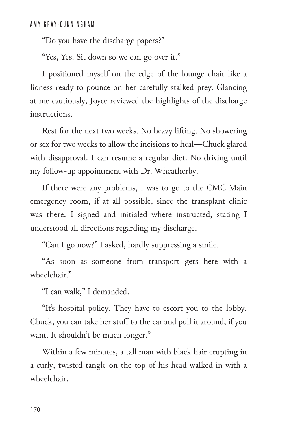"Do you have the discharge papers?"

"Yes, Yes. Sit down so we can go over it."

I positioned myself on the edge of the lounge chair like a lioness ready to pounce on her carefully stalked prey. Glancing at me cautiously, Joyce reviewed the highlights of the discharge instructions.

Rest for the next two weeks. No heavy lifting. No showering or sex for two weeks to allow the incisions to heal—Chuck glared with disapproval. I can resume a regular diet. No driving until my follow-up appointment with Dr. Wheatherby.

If there were any problems, I was to go to the CMC Main emergency room, if at all possible, since the transplant clinic was there. I signed and initialed where instructed, stating I understood all directions regarding my discharge.

"Can I go now?" I asked, hardly suppressing a smile.

"As soon as someone from transport gets here with a wheelchair."

"I can walk," I demanded.

"It's hospital policy. They have to escort you to the lobby. Chuck, you can take her stuff to the car and pull it around, if you want. It shouldn't be much longer."

Within a few minutes, a tall man with black hair erupting in a curly, twisted tangle on the top of his head walked in with a wheelchair.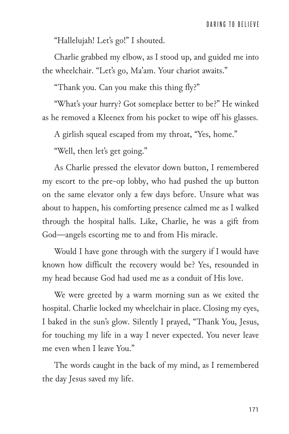"Hallelujah! Let's go!" I shouted.

Charlie grabbed my elbow, as I stood up, and guided me into the wheelchair. "Let's go, Ma'am. Your chariot awaits."

"Thank you. Can you make this thing fly?"

"What's your hurry? Got someplace better to be?" He winked as he removed a Kleenex from his pocket to wipe off his glasses.

A girlish squeal escaped from my throat, "Yes, home."

"Well, then let's get going."

As Charlie pressed the elevator down button, I remembered my escort to the pre-op lobby, who had pushed the up button on the same elevator only a few days before. Unsure what was about to happen, his comforting presence calmed me as I walked through the hospital halls. Like, Charlie, he was a gift from God—angels escorting me to and from His miracle.

Would I have gone through with the surgery if I would have known how difficult the recovery would be? Yes, resounded in my head because God had used me as a conduit of His love.

We were greeted by a warm morning sun as we exited the hospital. Charlie locked my wheelchair in place. Closing my eyes, I baked in the sun's glow. Silently I prayed, "Thank You, Jesus, for touching my life in a way I never expected. You never leave me even when I leave You."

The words caught in the back of my mind, as I remembered the day Jesus saved my life.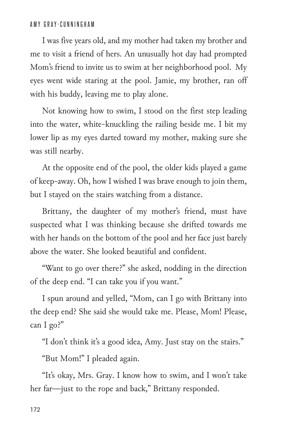## A M Y G R A Y - C U N N I N G H A M

I was five years old, and my mother had taken my brother and me to visit a friend of hers. An unusually hot day had prompted Mom's friend to invite us to swim at her neighborhood pool. My eyes went wide staring at the pool. Jamie, my brother, ran off with his buddy, leaving me to play alone.

Not knowing how to swim, I stood on the first step leading into the water, white-knuckling the railing beside me. I bit my lower lip as my eyes darted toward my mother, making sure she was still nearby.

At the opposite end of the pool, the older kids played a game of keep-away. Oh, how I wished I was brave enough to join them, but I stayed on the stairs watching from a distance.

Brittany, the daughter of my mother's friend, must have suspected what I was thinking because she drifted towards me with her hands on the bottom of the pool and her face just barely above the water. She looked beautiful and confident.

"Want to go over there?" she asked, nodding in the direction of the deep end. "I can take you if you want."

I spun around and yelled, "Mom, can I go with Brittany into the deep end? She said she would take me. Please, Mom! Please, can I go?"

"I don't think it's a good idea, Amy. Just stay on the stairs."

"But Mom!" I pleaded again.

"It's okay, Mrs. Gray. I know how to swim, and I won't take her far—just to the rope and back," Brittany responded.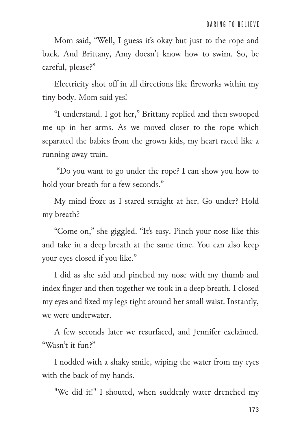Mom said, "Well, I guess it's okay but just to the rope and back. And Brittany, Amy doesn't know how to swim. So, be careful, please?"

Electricity shot off in all directions like fireworks within my tiny body. Mom said yes!

"I understand. I got her," Brittany replied and then swooped me up in her arms. As we moved closer to the rope which separated the babies from the grown kids, my heart raced like a running away train.

 "Do you want to go under the rope? I can show you how to hold your breath for a few seconds."

My mind froze as I stared straight at her. Go under? Hold my breath?

"Come on," she giggled. "It's easy. Pinch your nose like this and take in a deep breath at the same time. You can also keep your eyes closed if you like."

I did as she said and pinched my nose with my thumb and index finger and then together we took in a deep breath. I closed my eyes and fixed my legs tight around her small waist. Instantly, we were underwater.

A few seconds later we resurfaced, and Jennifer exclaimed. "Wasn't it fun?"

I nodded with a shaky smile, wiping the water from my eyes with the back of my hands.

"We did it!" I shouted, when suddenly water drenched my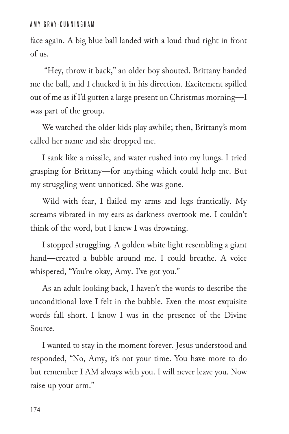## A M Y G R A Y - C U N N I N G H A M

face again. A big blue ball landed with a loud thud right in front of us.

 "Hey, throw it back," an older boy shouted. Brittany handed me the ball, and I chucked it in his direction. Excitement spilled out of me as if I'd gotten a large present on Christmas morning—I was part of the group.

We watched the older kids play awhile; then, Brittany's mom called her name and she dropped me.

I sank like a missile, and water rushed into my lungs. I tried grasping for Brittany—for anything which could help me. But my struggling went unnoticed. She was gone.

Wild with fear, I flailed my arms and legs frantically. My screams vibrated in my ears as darkness overtook me. I couldn't think of the word, but I knew I was drowning.

I stopped struggling. A golden white light resembling a giant hand—created a bubble around me. I could breathe. A voice whispered, "You're okay, Amy. I've got you."

As an adult looking back, I haven't the words to describe the unconditional love I felt in the bubble. Even the most exquisite words fall short. I know I was in the presence of the Divine Source.

I wanted to stay in the moment forever. Jesus understood and responded, "No, Amy, it's not your time. You have more to do but remember I AM always with you. I will never leave you. Now raise up your arm."